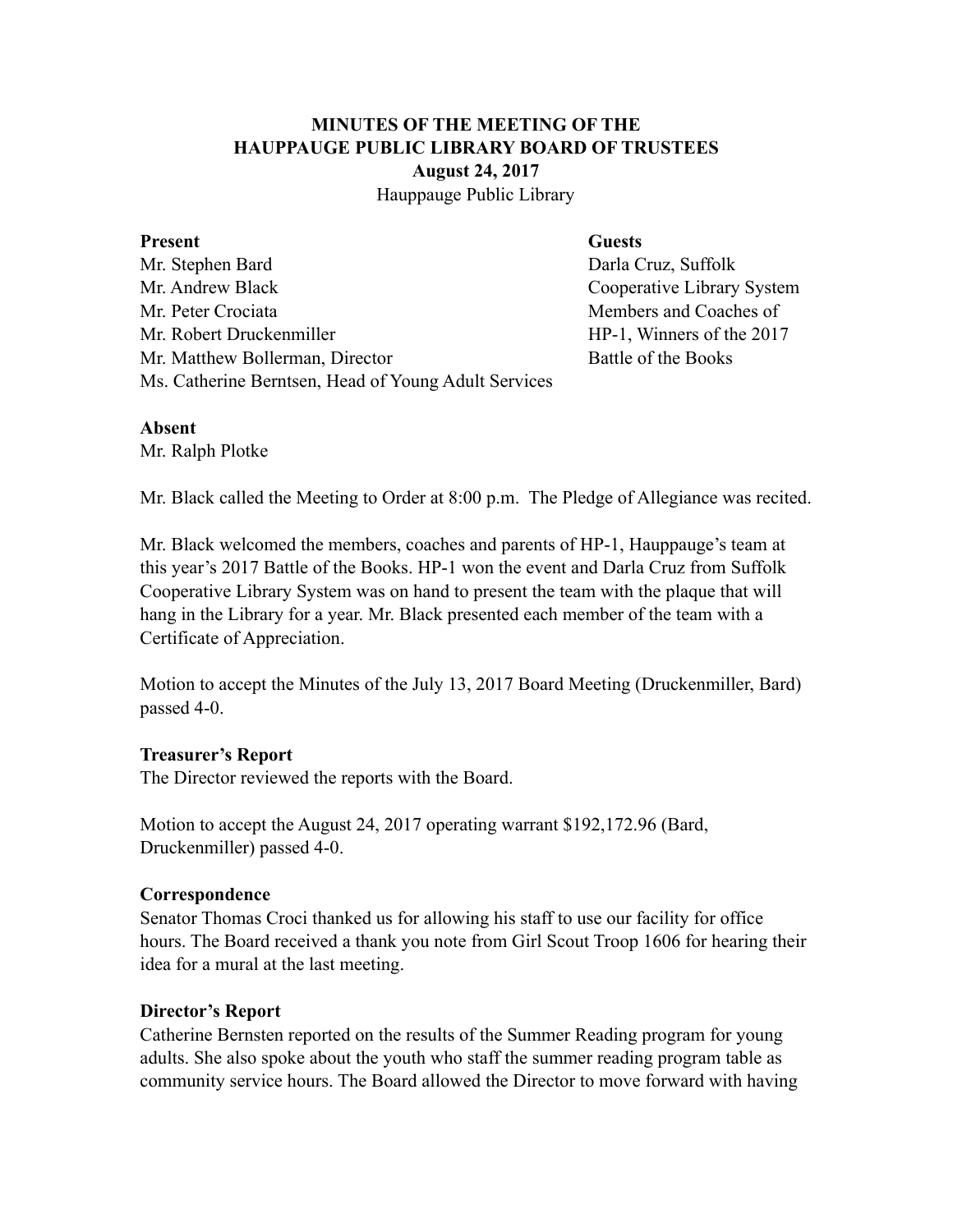# **MINUTES OF THE MEETING OF THE HAUPPAUGE PUBLIC LIBRARY BOARD OF TRUSTEES August 24, 2017**

Hauppauge Public Library

#### Present Guests

Mr. Stephen Bard **Darla Cruz, Suffolk** Mr. Andrew Black Cooperative Library System Mr. Peter Crociata **Members** and Coaches of Mr. Robert Druckenmiller HP-1, Winners of the 2017 Mr. Matthew Bollerman, Director Battle of the Books Ms. Catherine Berntsen, Head of Young Adult Services

## **Absent**

Mr. Ralph Plotke

Mr. Black called the Meeting to Order at 8:00 p.m. The Pledge of Allegiance was recited.

Mr. Black welcomed the members, coaches and parents of HP-1, Hauppauge's team at this year's 2017 Battle of the Books. HP-1 won the event and Darla Cruz from Suffolk Cooperative Library System was on hand to present the team with the plaque that will hang in the Library for a year. Mr. Black presented each member of the team with a Certificate of Appreciation.

Motion to accept the Minutes of the July 13, 2017 Board Meeting (Druckenmiller, Bard) passed 4-0.

## **Treasurer's Report**

The Director reviewed the reports with the Board.

Motion to accept the August 24, 2017 operating warrant \$192,172.96 (Bard, Druckenmiller) passed 4-0.

## **Correspondence**

Senator Thomas Croci thanked us for allowing his staff to use our facility for office hours. The Board received a thank you note from Girl Scout Troop 1606 for hearing their idea for a mural at the last meeting.

## **Director's Report**

Catherine Bernsten reported on the results of the Summer Reading program for young adults. She also spoke about the youth who staff the summer reading program table as community service hours. The Board allowed the Director to move forward with having